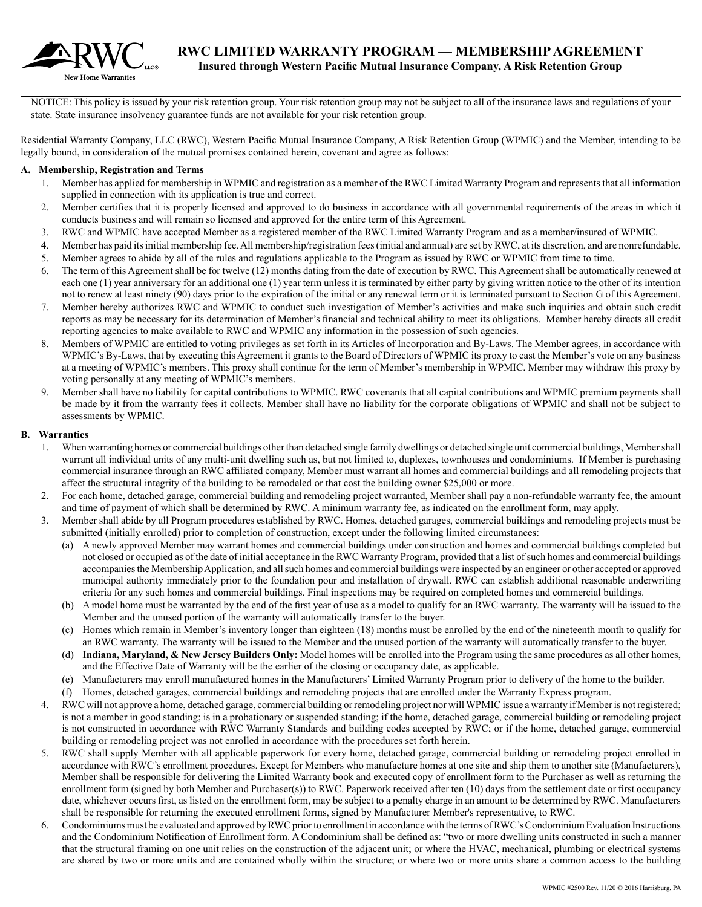

NOTICE: This policy is issued by your risk retention group. Your risk retention group may not be subject to all of the insurance laws and regulations of your state. State insurance insolvency guarantee funds are not available for your risk retention group.

Residential Warranty Company, LLC (RWC), Western Pacific Mutual Insurance Company, A Risk Retention Group (WPMIC) and the Member, intending to be legally bound, in consideration of the mutual promises contained herein, covenant and agree as follows:

#### **A. Membership, Registration and Terms**

- 1. Member has applied for membership in WPMIC and registration as a member of the RWC Limited Warranty Program and represents that all information supplied in connection with its application is true and correct.
- 2. Member certifies that it is properly licensed and approved to do business in accordance with all governmental requirements of the areas in which it conducts business and will remain so licensed and approved for the entire term of this Agreement.
- 3. RWC and WPMIC have accepted Member as a registered member of the RWC Limited Warranty Program and as a member/insured of WPMIC.
- 4. Member has paid its initial membership fee. All membership/registration fees (initial and annual) are set by RWC, at its discretion, and are nonrefundable.
- 5. Member agrees to abide by all of the rules and regulations applicable to the Program as issued by RWC or WPMIC from time to time.
- 6. The term of this Agreement shall be for twelve (12) months dating from the date of execution by RWC. This Agreement shall be automatically renewed at each one (1) year anniversary for an additional one (1) year term unless it is terminated by either party by giving written notice to the other of its intention not to renew at least ninety (90) days prior to the expiration of the initial or any renewal term or it is terminated pursuant to Section G of this Agreement.
- 7. Member hereby authorizes RWC and WPMIC to conduct such investigation of Member's activities and make such inquiries and obtain such credit reports as may be necessary for its determination of Member's financial and technical ability to meet its obligations. Member hereby directs all credit reporting agencies to make available to RWC and WPMIC any information in the possession of such agencies.
- 8. Members of WPMIC are entitled to voting privileges as set forth in its Articles of Incorporation and By-Laws. The Member agrees, in accordance with WPMIC's By-Laws, that by executing this Agreement it grants to the Board of Directors of WPMIC its proxy to cast the Member's vote on any business at a meeting of WPMIC's members. This proxy shall continue for the term of Member's membership in WPMIC. Member may withdraw this proxy by voting personally at any meeting of WPMIC's members.
- 9. Member shall have no liability for capital contributions to WPMIC. RWC covenants that all capital contributions and WPMIC premium payments shall be made by it from the warranty fees it collects. Member shall have no liability for the corporate obligations of WPMIC and shall not be subject to assessments by WPMIC.

#### **B. Warranties**

- 1. When warranting homes or commercial buildings other than detached single family dwellings or detached single unit commercial buildings, Member shall warrant all individual units of any multi-unit dwelling such as, but not limited to, duplexes, townhouses and condominiums. If Member is purchasing commercial insurance through an RWC affiliated company, Member must warrant all homes and commercial buildings and all remodeling projects that affect the structural integrity of the building to be remodeled or that cost the building owner \$25,000 or more.
- 2. For each home, detached garage, commercial building and remodeling project warranted, Member shall pay a non-refundable warranty fee, the amount and time of payment of which shall be determined by RWC. A minimum warranty fee, as indicated on the enrollment form, may apply.
- 3. Member shall abide by all Program procedures established by RWC. Homes, detached garages, commercial buildings and remodeling projects must be submitted (initially enrolled) prior to completion of construction, except under the following limited circumstances:
	- (a) A newly approved Member may warrant homes and commercial buildings under construction and homes and commercial buildings completed but not closed or occupied as of the date of initial acceptance in the RWC Warranty Program, provided that a list of such homes and commercial buildings accompanies the Membership Application, and all such homes and commercial buildings were inspected by an engineer or other accepted or approved municipal authority immediately prior to the foundation pour and installation of drywall. RWC can establish additional reasonable underwriting criteria for any such homes and commercial buildings. Final inspections may be required on completed homes and commercial buildings.
	- (b) A model home must be warranted by the end of the first year of use as a model to qualify for an RWC warranty. The warranty will be issued to the Member and the unused portion of the warranty will automatically transfer to the buyer.
	- (c) Homes which remain in Member's inventory longer than eighteen (18) months must be enrolled by the end of the nineteenth month to qualify for an RWC warranty. The warranty will be issued to the Member and the unused portion of the warranty will automatically transfer to the buyer.
	- (d) **Indiana, Maryland, & New Jersey Builders Only:** Model homes will be enrolled into the Program using the same procedures as all other homes, and the Effective Date of Warranty will be the earlier of the closing or occupancy date, as applicable.
	- (e) Manufacturers may enroll manufactured homes in the Manufacturers' Limited Warranty Program prior to delivery of the home to the builder.
	- (f) Homes, detached garages, commercial buildings and remodeling projects that are enrolled under the Warranty Express program.
- 4. RWC will not approve a home, detached garage, commercial building or remodeling project nor will WPMIC issue a warranty if Member is not registered; is not a member in good standing; is in a probationary or suspended standing; if the home, detached garage, commercial building or remodeling project is not constructed in accordance with RWC Warranty Standards and building codes accepted by RWC; or if the home, detached garage, commercial building or remodeling project was not enrolled in accordance with the procedures set forth herein.
- 5. RWC shall supply Member with all applicable paperwork for every home, detached garage, commercial building or remodeling project enrolled in accordance with RWC's enrollment procedures. Except for Members who manufacture homes at one site and ship them to another site (Manufacturers), Member shall be responsible for delivering the Limited Warranty book and executed copy of enrollment form to the Purchaser as well as returning the enrollment form (signed by both Member and Purchaser(s)) to RWC. Paperwork received after ten (10) days from the settlement date or first occupancy date, whichever occurs first, as listed on the enrollment form, may be subject to a penalty charge in an amount to be determined by RWC. Manufacturers shall be responsible for returning the executed enrollment forms, signed by Manufacturer Member's representative, to RWC.
- 6. Condominiums must be evaluated and approved by RWC prior to enrollment in accordance with the terms of RWC's Condominium Evaluation Instructions and the Condominium Notification of Enrollment form. A Condominium shall be defined as: "two or more dwelling units constructed in such a manner that the structural framing on one unit relies on the construction of the adjacent unit; or where the HVAC, mechanical, plumbing or electrical systems are shared by two or more units and are contained wholly within the structure; or where two or more units share a common access to the building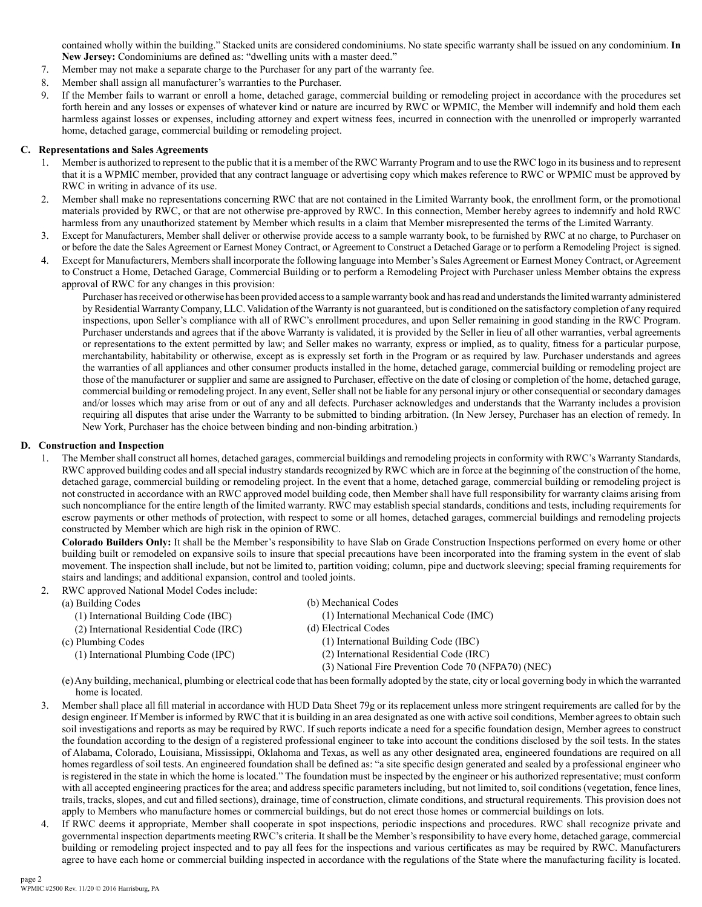contained wholly within the building." Stacked units are considered condominiums. No state specific warranty shall be issued on any condominium. **In New Jersey:** Condominiums are defined as: "dwelling units with a master deed."

- 7. Member may not make a separate charge to the Purchaser for any part of the warranty fee.
- 8. Member shall assign all manufacturer's warranties to the Purchaser.
- 9. If the Member fails to warrant or enroll a home, detached garage, commercial building or remodeling project in accordance with the procedures set forth herein and any losses or expenses of whatever kind or nature are incurred by RWC or WPMIC, the Member will indemnify and hold them each harmless against losses or expenses, including attorney and expert witness fees, incurred in connection with the unenrolled or improperly warranted home, detached garage, commercial building or remodeling project.

#### **C. Representations and Sales Agreements**

- Member is authorized to represent to the public that it is a member of the RWC Warranty Program and to use the RWC logo in its business and to represent that it is a WPMIC member, provided that any contract language or advertising copy which makes reference to RWC or WPMIC must be approved by RWC in writing in advance of its use.
- 2. Member shall make no representations concerning RWC that are not contained in the Limited Warranty book, the enrollment form, or the promotional materials provided by RWC, or that are not otherwise pre-approved by RWC. In this connection, Member hereby agrees to indemnify and hold RWC harmless from any unauthorized statement by Member which results in a claim that Member misrepresented the terms of the Limited Warranty.
- 3. Except for Manufacturers, Member shall deliver or otherwise provide access to a sample warranty book, to be furnished by RWC at no charge, to Purchaser on or before the date the Sales Agreement or Earnest Money Contract, or Agreement to Construct a Detached Garage or to perform a Remodeling Project is signed.
- 4. Except for Manufacturers, Members shall incorporate the following language into Member's Sales Agreement or Earnest Money Contract, or Agreement to Construct a Home, Detached Garage, Commercial Building or to perform a Remodeling Project with Purchaser unless Member obtains the express approval of RWC for any changes in this provision:

Purchaser has received or otherwise has been provided access to a sample warranty book and has read and understands the limited warranty administered by Residential Warranty Company, LLC. Validation of the Warranty is not guaranteed, but is conditioned on the satisfactory completion of any required inspections, upon Seller's compliance with all of RWC's enrollment procedures, and upon Seller remaining in good standing in the RWC Program. Purchaser understands and agrees that if the above Warranty is validated, it is provided by the Seller in lieu of all other warranties, verbal agreements or representations to the extent permitted by law; and Seller makes no warranty, express or implied, as to quality, fitness for a particular purpose, merchantability, habitability or otherwise, except as is expressly set forth in the Program or as required by law. Purchaser understands and agrees the warranties of all appliances and other consumer products installed in the home, detached garage, commercial building or remodeling project are those of the manufacturer or supplier and same are assigned to Purchaser, effective on the date of closing or completion of the home, detached garage, commercial building or remodeling project. In any event, Seller shall not be liable for any personal injury or other consequential or secondary damages and/or losses which may arise from or out of any and all defects. Purchaser acknowledges and understands that the Warranty includes a provision requiring all disputes that arise under the Warranty to be submitted to binding arbitration. (In New Jersey, Purchaser has an election of remedy. In New York, Purchaser has the choice between binding and non-binding arbitration.)

#### **D. Construction and Inspection**

1. The Member shall construct all homes, detached garages, commercial buildings and remodeling projects in conformity with RWC's Warranty Standards, RWC approved building codes and all special industry standards recognized by RWC which are in force at the beginning of the construction of the home, detached garage, commercial building or remodeling project. In the event that a home, detached garage, commercial building or remodeling project is not constructed in accordance with an RWC approved model building code, then Member shall have full responsibility for warranty claims arising from such noncompliance for the entire length of the limited warranty. RWC may establish special standards, conditions and tests, including requirements for escrow payments or other methods of protection, with respect to some or all homes, detached garages, commercial buildings and remodeling projects constructed by Member which are high risk in the opinion of RWC.

**Colorado Builders Only:** It shall be the Member's responsibility to have Slab on Grade Construction Inspections performed on every home or other building built or remodeled on expansive soils to insure that special precautions have been incorporated into the framing system in the event of slab movement. The inspection shall include, but not be limited to, partition voiding; column, pipe and ductwork sleeving; special framing requirements for stairs and landings; and additional expansion, control and tooled joints.

2. RWC approved National Model Codes include:

| (a) Building Codes                       | (b) Mechanical Codes                                |
|------------------------------------------|-----------------------------------------------------|
| (1) International Building Code (IBC)    | (1) International Mechanical Code (IMC)             |
| (2) International Residential Code (IRC) | (d) Electrical Codes                                |
| (c) Plumbing Codes                       | (1) International Building Code (IBC)               |
| (1) International Plumbing Code (IPC)    | (2) International Residential Code (IRC)            |
|                                          | (3) National Fire Prevention Code 70 (NFPA70) (NEC) |
|                                          |                                                     |

(e) Any building, mechanical, plumbing or electrical code that has been formally adopted by the state, city or local governing body in which the warranted home is located.

- 3. Member shall place all fill material in accordance with HUD Data Sheet 79g or its replacement unless more stringent requirements are called for by the design engineer. If Member is informed by RWC that it is building in an area designated as one with active soil conditions, Member agrees to obtain such soil investigations and reports as may be required by RWC. If such reports indicate a need for a specific foundation design, Member agrees to construct the foundation according to the design of a registered professional engineer to take into account the conditions disclosed by the soil tests. In the states of Alabama, Colorado, Louisiana, Mississippi, Oklahoma and Texas, as well as any other designated area, engineered foundations are required on all homes regardless of soil tests. An engineered foundation shall be defined as: "a site specific design generated and sealed by a professional engineer who is registered in the state in which the home is located." The foundation must be inspected by the engineer or his authorized representative; must conform with all accepted engineering practices for the area; and address specific parameters including, but not limited to, soil conditions (vegetation, fence lines, trails, tracks, slopes, and cut and filled sections), drainage, time of construction, climate conditions, and structural requirements. This provision does not apply to Members who manufacture homes or commercial buildings, but do not erect those homes or commercial buildings on lots.
- 4. If RWC deems it appropriate, Member shall cooperate in spot inspections, periodic inspections and procedures. RWC shall recognize private and governmental inspection departments meeting RWC's criteria. It shall be the Member's responsibility to have every home, detached garage, commercial building or remodeling project inspected and to pay all fees for the inspections and various certificates as may be required by RWC. Manufacturers agree to have each home or commercial building inspected in accordance with the regulations of the State where the manufacturing facility is located.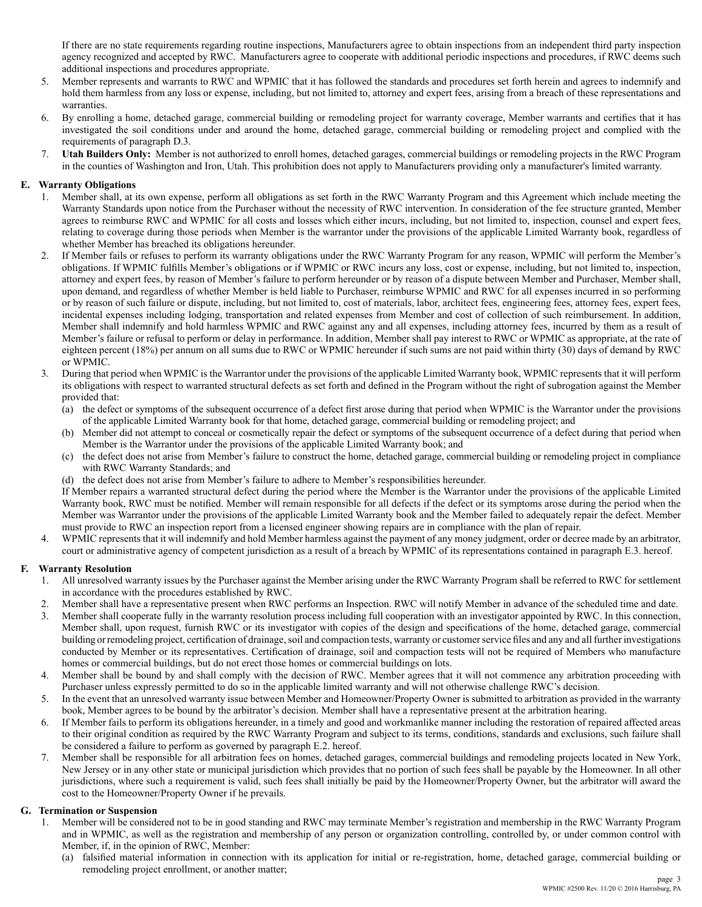If there are no state requirements regarding routine inspections, Manufacturers agree to obtain inspections from an independent third party inspection agency recognized and accepted by RWC. Manufacturers agree to cooperate with additional periodic inspections and procedures, if RWC deems such additional inspections and procedures appropriate.

- 5. Member represents and warrants to RWC and WPMIC that it has followed the standards and procedures set forth herein and agrees to indemnify and hold them harmless from any loss or expense, including, but not limited to, attorney and expert fees, arising from a breach of these representations and warranties.
- 6. By enrolling a home, detached garage, commercial building or remodeling project for warranty coverage, Member warrants and certifies that it has investigated the soil conditions under and around the home, detached garage, commercial building or remodeling project and complied with the requirements of paragraph D.3.
- 7. **Utah Builders Only:** Member is not authorized to enroll homes, detached garages, commercial buildings or remodeling projects in the RWC Program in the counties of Washington and Iron, Utah. This prohibition does not apply to Manufacturers providing only a manufacturer's limited warranty.

## **E. Warranty Obligations**

- 1. Member shall, at its own expense, perform all obligations as set forth in the RWC Warranty Program and this Agreement which include meeting the Warranty Standards upon notice from the Purchaser without the necessity of RWC intervention. In consideration of the fee structure granted, Member agrees to reimburse RWC and WPMIC for all costs and losses which either incurs, including, but not limited to, inspection, counsel and expert fees, relating to coverage during those periods when Member is the warrantor under the provisions of the applicable Limited Warranty book, regardless of whether Member has breached its obligations hereunder.
- 2. If Member fails or refuses to perform its warranty obligations under the RWC Warranty Program for any reason, WPMIC will perform the Member's obligations. If WPMIC fulfills Member's obligations or if WPMIC or RWC incurs any loss, cost or expense, including, but not limited to, inspection, attorney and expert fees, by reason of Member's failure to perform hereunder or by reason of a dispute between Member and Purchaser, Member shall, upon demand, and regardless of whether Member is held liable to Purchaser, reimburse WPMIC and RWC for all expenses incurred in so performing or by reason of such failure or dispute, including, but not limited to, cost of materials, labor, architect fees, engineering fees, attorney fees, expert fees, incidental expenses including lodging, transportation and related expenses from Member and cost of collection of such reimbursement. In addition, Member shall indemnify and hold harmless WPMIC and RWC against any and all expenses, including attorney fees, incurred by them as a result of Member's failure or refusal to perform or delay in performance. In addition, Member shall pay interest to RWC or WPMIC as appropriate, at the rate of eighteen percent (18%) per annum on all sums due to RWC or WPMIC hereunder if such sums are not paid within thirty (30) days of demand by RWC or WPMIC.
- 3. During that period when WPMIC is the Warrantor under the provisions of the applicable Limited Warranty book, WPMIC represents that it will perform its obligations with respect to warranted structural defects as set forth and defined in the Program without the right of subrogation against the Member provided that:
	- (a) the defect or symptoms of the subsequent occurrence of a defect first arose during that period when WPMIC is the Warrantor under the provisions of the applicable Limited Warranty book for that home, detached garage, commercial building or remodeling project; and
	- (b) Member did not attempt to conceal or cosmetically repair the defect or symptoms of the subsequent occurrence of a defect during that period when Member is the Warrantor under the provisions of the applicable Limited Warranty book; and
	- (c) the defect does not arise from Member's failure to construct the home, detached garage, commercial building or remodeling project in compliance with RWC Warranty Standards; and
	- (d) the defect does not arise from Member's failure to adhere to Member's responsibilities hereunder.

If Member repairs a warranted structural defect during the period where the Member is the Warrantor under the provisions of the applicable Limited Warranty book, RWC must be notified. Member will remain responsible for all defects if the defect or its symptoms arose during the period when the Member was Warrantor under the provisions of the applicable Limited Warranty book and the Member failed to adequately repair the defect. Member must provide to RWC an inspection report from a licensed engineer showing repairs are in compliance with the plan of repair.

4. WPMIC represents that it will indemnify and hold Member harmless against the payment of any money judgment, order or decree made by an arbitrator, court or administrative agency of competent jurisdiction as a result of a breach by WPMIC of its representations contained in paragraph E.3. hereof.

## **F. Warranty Resolution**

- 1. All unresolved warranty issues by the Purchaser against the Member arising under the RWC Warranty Program shall be referred to RWC for settlement in accordance with the procedures established by RWC.
- 2. Member shall have a representative present when RWC performs an Inspection. RWC will notify Member in advance of the scheduled time and date.
- 3. Member shall cooperate fully in the warranty resolution process including full cooperation with an investigator appointed by RWC. In this connection, Member shall, upon request, furnish RWC or its investigator with copies of the design and specifications of the home, detached garage, commercial building or remodeling project, certification of drainage, soil and compaction tests, warranty or customer service files and any and all further investigations conducted by Member or its representatives. Certification of drainage, soil and compaction tests will not be required of Members who manufacture homes or commercial buildings, but do not erect those homes or commercial buildings on lots.
- 4. Member shall be bound by and shall comply with the decision of RWC. Member agrees that it will not commence any arbitration proceeding with Purchaser unless expressly permitted to do so in the applicable limited warranty and will not otherwise challenge RWC's decision.
- 5. In the event that an unresolved warranty issue between Member and Homeowner/Property Owner is submitted to arbitration as provided in the warranty book, Member agrees to be bound by the arbitrator's decision. Member shall have a representative present at the arbitration hearing.
- 6. If Member fails to perform its obligations hereunder, in a timely and good and workmanlike manner including the restoration of repaired affected areas to their original condition as required by the RWC Warranty Program and subject to its terms, conditions, standards and exclusions, such failure shall be considered a failure to perform as governed by paragraph E.2. hereof.
- 7. Member shall be responsible for all arbitration fees on homes, detached garages, commercial buildings and remodeling projects located in New York, New Jersey or in any other state or municipal jurisdiction which provides that no portion of such fees shall be payable by the Homeowner. In all other jurisdictions, where such a requirement is valid, such fees shall initially be paid by the Homeowner/Property Owner, but the arbitrator will award the cost to the Homeowner/Property Owner if he prevails.

## **G. Termination or Suspension**

- 1. Member will be considered not to be in good standing and RWC may terminate Member's registration and membership in the RWC Warranty Program and in WPMIC, as well as the registration and membership of any person or organization controlling, controlled by, or under common control with Member, if, in the opinion of RWC, Member:
	- (a) falsified material information in connection with its application for initial or re-registration, home, detached garage, commercial building or remodeling project enrollment, or another matter;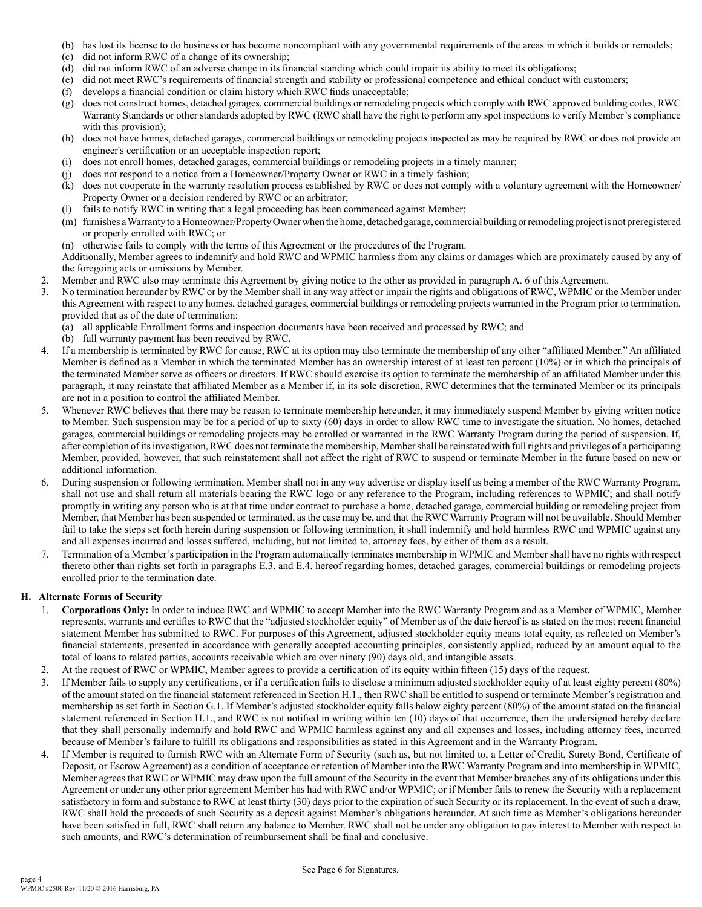- (b) has lost its license to do business or has become noncompliant with any governmental requirements of the areas in which it builds or remodels;
- (c) did not inform RWC of a change of its ownership;
- (d) did not inform RWC of an adverse change in its financial standing which could impair its ability to meet its obligations;
- (e) did not meet RWC's requirements of financial strength and stability or professional competence and ethical conduct with customers;
- (f) develops a financial condition or claim history which RWC finds unacceptable;
- (g) does not construct homes, detached garages, commercial buildings or remodeling projects which comply with RWC approved building codes, RWC Warranty Standards or other standards adopted by RWC (RWC shall have the right to perform any spot inspections to verify Member's compliance with this provision);
- (h) does not have homes, detached garages, commercial buildings or remodeling projects inspected as may be required by RWC or does not provide an engineer's certification or an acceptable inspection report;
- (i) does not enroll homes, detached garages, commercial buildings or remodeling projects in a timely manner;
- (j) does not respond to a notice from a Homeowner/Property Owner or RWC in a timely fashion;
- (k) does not cooperate in the warranty resolution process established by RWC or does not comply with a voluntary agreement with the Homeowner/ Property Owner or a decision rendered by RWC or an arbitrator;
- (l) fails to notify RWC in writing that a legal proceeding has been commenced against Member;
- (m) furnishes a Warranty to a Homeowner/Property Owner when the home, detached garage, commercial building or remodeling project is not preregistered or properly enrolled with RWC; or
- (n) otherwise fails to comply with the terms of this Agreement or the procedures of the Program.

Additionally, Member agrees to indemnify and hold RWC and WPMIC harmless from any claims or damages which are proximately caused by any of the foregoing acts or omissions by Member.

- 2. Member and RWC also may terminate this Agreement by giving notice to the other as provided in paragraph A. 6 of this Agreement.
- 3. No termination hereunder by RWC or by the Member shall in any way affect or impair the rights and obligations of RWC, WPMIC or the Member under this Agreement with respect to any homes, detached garages, commercial buildings or remodeling projects warranted in the Program prior to termination, provided that as of the date of termination:
	- (a) all applicable Enrollment forms and inspection documents have been received and processed by RWC; and
	- (b) full warranty payment has been received by RWC.
- 4. If a membership is terminated by RWC for cause, RWC at its option may also terminate the membership of any other "affiliated Member." An affiliated Member is defined as a Member in which the terminated Member has an ownership interest of at least ten percent (10%) or in which the principals of the terminated Member serve as officers or directors. If RWC should exercise its option to terminate the membership of an affiliated Member under this paragraph, it may reinstate that affiliated Member as a Member if, in its sole discretion, RWC determines that the terminated Member or its principals are not in a position to control the affiliated Member.
- 5. Whenever RWC believes that there may be reason to terminate membership hereunder, it may immediately suspend Member by giving written notice to Member. Such suspension may be for a period of up to sixty (60) days in order to allow RWC time to investigate the situation. No homes, detached garages, commercial buildings or remodeling projects may be enrolled or warranted in the RWC Warranty Program during the period of suspension. If, after completion of its investigation, RWC does not terminate the membership, Member shall be reinstated with full rights and privileges of a participating Member, provided, however, that such reinstatement shall not affect the right of RWC to suspend or terminate Member in the future based on new or additional information.
- 6. During suspension or following termination, Member shall not in any way advertise or display itself as being a member of the RWC Warranty Program, shall not use and shall return all materials bearing the RWC logo or any reference to the Program, including references to WPMIC; and shall notify promptly in writing any person who is at that time under contract to purchase a home, detached garage, commercial building or remodeling project from Member, that Member has been suspended or terminated, as the case may be, and that the RWC Warranty Program will not be available. Should Member fail to take the steps set forth herein during suspension or following termination, it shall indemnify and hold harmless RWC and WPMIC against any and all expenses incurred and losses suffered, including, but not limited to, attorney fees, by either of them as a result.
- 7. Termination of a Member's participation in the Program automatically terminates membership in WPMIC and Member shall have no rights with respect thereto other than rights set forth in paragraphs E.3. and E.4. hereof regarding homes, detached garages, commercial buildings or remodeling projects enrolled prior to the termination date.

## **H. Alternate Forms of Security**

- 1. **Corporations Only:** In order to induce RWC and WPMIC to accept Member into the RWC Warranty Program and as a Member of WPMIC, Member represents, warrants and certifies to RWC that the "adjusted stockholder equity" of Member as of the date hereof is as stated on the most recent financial statement Member has submitted to RWC. For purposes of this Agreement, adjusted stockholder equity means total equity, as reflected on Member's financial statements, presented in accordance with generally accepted accounting principles, consistently applied, reduced by an amount equal to the total of loans to related parties, accounts receivable which are over ninety (90) days old, and intangible assets.
- 2. At the request of RWC or WPMIC, Member agrees to provide a certification of its equity within fifteen (15) days of the request.
- 3. If Member fails to supply any certifications, or if a certification fails to disclose a minimum adjusted stockholder equity of at least eighty percent (80%) of the amount stated on the financial statement referenced in Section H.1., then RWC shall be entitled to suspend or terminate Member's registration and membership as set forth in Section G.1. If Member's adjusted stockholder equity falls below eighty percent (80%) of the amount stated on the financial statement referenced in Section H.1., and RWC is not notified in writing within ten (10) days of that occurrence, then the undersigned hereby declare that they shall personally indemnify and hold RWC and WPMIC harmless against any and all expenses and losses, including attorney fees, incurred because of Member's failure to fulfill its obligations and responsibilities as stated in this Agreement and in the Warranty Program.
- 4. If Member is required to furnish RWC with an Alternate Form of Security (such as, but not limited to, a Letter of Credit, Surety Bond, Certificate of Deposit, or Escrow Agreement) as a condition of acceptance or retention of Member into the RWC Warranty Program and into membership in WPMIC, Member agrees that RWC or WPMIC may draw upon the full amount of the Security in the event that Member breaches any of its obligations under this Agreement or under any other prior agreement Member has had with RWC and/or WPMIC; or if Member fails to renew the Security with a replacement satisfactory in form and substance to RWC at least thirty (30) days prior to the expiration of such Security or its replacement. In the event of such a draw, RWC shall hold the proceeds of such Security as a deposit against Member's obligations hereunder. At such time as Member's obligations hereunder have been satisfied in full, RWC shall return any balance to Member. RWC shall not be under any obligation to pay interest to Member with respect to such amounts, and RWC's determination of reimbursement shall be final and conclusive.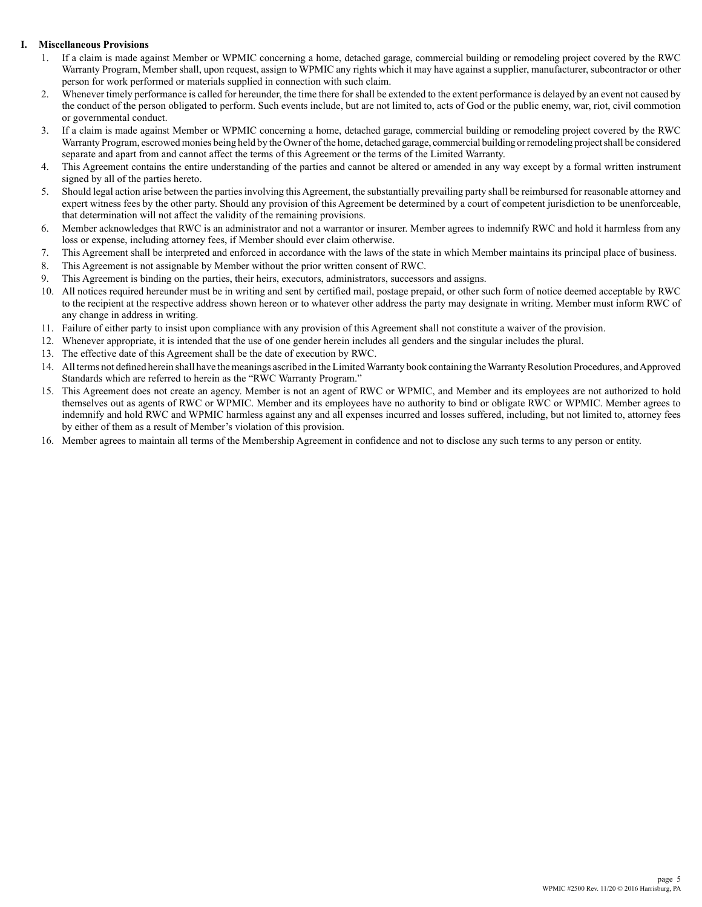## **I. Miscellaneous Provisions**

- 1. If a claim is made against Member or WPMIC concerning a home, detached garage, commercial building or remodeling project covered by the RWC Warranty Program, Member shall, upon request, assign to WPMIC any rights which it may have against a supplier, manufacturer, subcontractor or other person for work performed or materials supplied in connection with such claim.
- 2. Whenever timely performance is called for hereunder, the time there for shall be extended to the extent performance is delayed by an event not caused by the conduct of the person obligated to perform. Such events include, but are not limited to, acts of God or the public enemy, war, riot, civil commotion or governmental conduct.
- 3. If a claim is made against Member or WPMIC concerning a home, detached garage, commercial building or remodeling project covered by the RWC Warranty Program, escrowed monies being held by the Owner of the home, detached garage, commercial building or remodeling project shall be considered separate and apart from and cannot affect the terms of this Agreement or the terms of the Limited Warranty.
- 4. This Agreement contains the entire understanding of the parties and cannot be altered or amended in any way except by a formal written instrument signed by all of the parties hereto.
- 5. Should legal action arise between the parties involving this Agreement, the substantially prevailing party shall be reimbursed for reasonable attorney and expert witness fees by the other party. Should any provision of this Agreement be determined by a court of competent jurisdiction to be unenforceable, that determination will not affect the validity of the remaining provisions.
- 6. Member acknowledges that RWC is an administrator and not a warrantor or insurer. Member agrees to indemnify RWC and hold it harmless from any loss or expense, including attorney fees, if Member should ever claim otherwise.
- 7. This Agreement shall be interpreted and enforced in accordance with the laws of the state in which Member maintains its principal place of business.
- 8. This Agreement is not assignable by Member without the prior written consent of RWC.
- 9. This Agreement is binding on the parties, their heirs, executors, administrators, successors and assigns.
- 10. All notices required hereunder must be in writing and sent by certified mail, postage prepaid, or other such form of notice deemed acceptable by RWC to the recipient at the respective address shown hereon or to whatever other address the party may designate in writing. Member must inform RWC of any change in address in writing.
- 11. Failure of either party to insist upon compliance with any provision of this Agreement shall not constitute a waiver of the provision.
- 12. Whenever appropriate, it is intended that the use of one gender herein includes all genders and the singular includes the plural.
- 13. The effective date of this Agreement shall be the date of execution by RWC.
- 14. All terms not defined herein shall have the meanings ascribed in the Limited Warranty book containing the Warranty Resolution Procedures, and Approved Standards which are referred to herein as the "RWC Warranty Program."
- 15. This Agreement does not create an agency. Member is not an agent of RWC or WPMIC, and Member and its employees are not authorized to hold themselves out as agents of RWC or WPMIC. Member and its employees have no authority to bind or obligate RWC or WPMIC. Member agrees to indemnify and hold RWC and WPMIC harmless against any and all expenses incurred and losses suffered, including, but not limited to, attorney fees by either of them as a result of Member's violation of this provision.
- 16. Member agrees to maintain all terms of the Membership Agreement in confidence and not to disclose any such terms to any person or entity.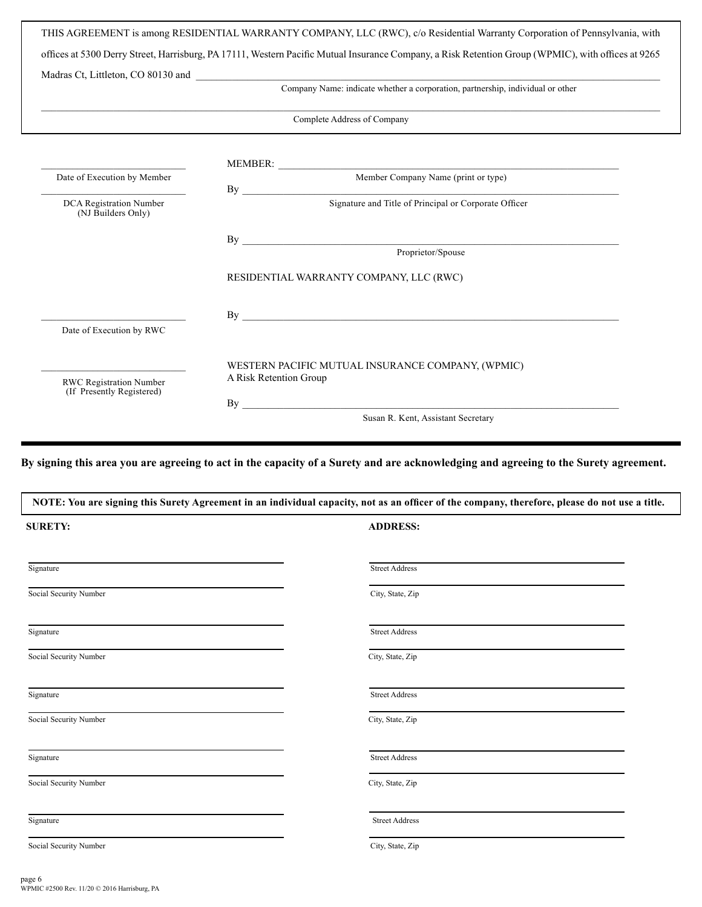|                                                      | Company Name: indicate whether a corporation, partnership, individual or other |
|------------------------------------------------------|--------------------------------------------------------------------------------|
|                                                      | Complete Address of Company                                                    |
|                                                      |                                                                                |
| Date of Execution by Member                          | MEMBER: Member Company Name (print or type)                                    |
| DCA Registration Number<br>(NJ Builders Only)        | By Signature and Title of Principal or Corporate Officer                       |
|                                                      | By                                                                             |
|                                                      | Proprietor/Spouse                                                              |
|                                                      | RESIDENTIAL WARRANTY COMPANY, LLC (RWC)                                        |
|                                                      | By                                                                             |
| Date of Execution by RWC                             |                                                                                |
|                                                      | WESTERN PACIFIC MUTUAL INSURANCE COMPANY, (WPMIC)<br>A Risk Retention Group    |
| RWC Registration Number<br>(If Presently Registered) | By                                                                             |

**By signing this area you are agreeing to act in the capacity of a Surety and are acknowledging and agreeing to the Surety agreement.**

| NOTE: You are signing this Surety Agreement in an individual capacity, not as an officer of the company, therefore, please do not use a title. |                       |  |
|------------------------------------------------------------------------------------------------------------------------------------------------|-----------------------|--|
| <b>SURETY:</b>                                                                                                                                 | <b>ADDRESS:</b>       |  |
| Signature                                                                                                                                      | <b>Street Address</b> |  |
| Social Security Number                                                                                                                         | City, State, Zip      |  |
| Signature                                                                                                                                      | <b>Street Address</b> |  |
| Social Security Number                                                                                                                         | City, State, Zip      |  |
| Signature                                                                                                                                      | <b>Street Address</b> |  |
| Social Security Number                                                                                                                         | City, State, Zip      |  |
| Signature                                                                                                                                      | <b>Street Address</b> |  |
| Social Security Number                                                                                                                         | City, State, Zip      |  |
| Signature                                                                                                                                      | <b>Street Address</b> |  |
| Social Security Number                                                                                                                         | City, State, Zip      |  |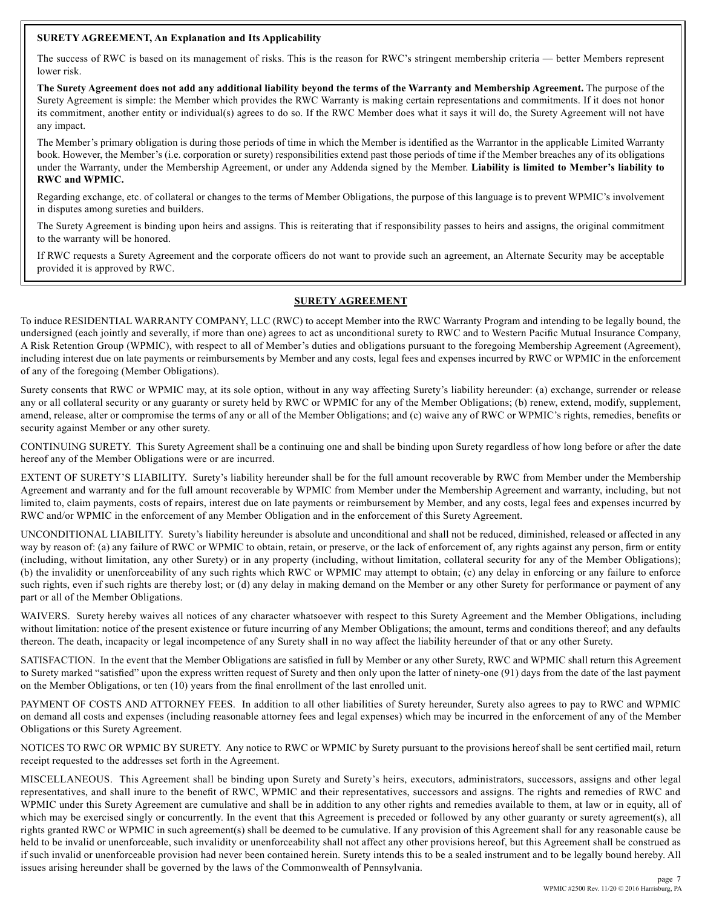## **SURETY AGREEMENT, An Explanation and Its Applicability**

The success of RWC is based on its management of risks. This is the reason for RWC's stringent membership criteria — better Members represent lower risk.

**The Surety Agreement does not add any additional liability beyond the terms of the Warranty and Membership Agreement.** The purpose of the Surety Agreement is simple: the Member which provides the RWC Warranty is making certain representations and commitments. If it does not honor its commitment, another entity or individual(s) agrees to do so. If the RWC Member does what it says it will do, the Surety Agreement will not have any impact.

The Member's primary obligation is during those periods of time in which the Member is identified as the Warrantor in the applicable Limited Warranty book. However, the Member's (i.e. corporation or surety) responsibilities extend past those periods of time if the Member breaches any of its obligations under the Warranty, under the Membership Agreement, or under any Addenda signed by the Member. **Liability is limited to Member's liability to RWC and WPMIC.**

Regarding exchange, etc. of collateral or changes to the terms of Member Obligations, the purpose of this language is to prevent WPMIC's involvement in disputes among sureties and builders.

The Surety Agreement is binding upon heirs and assigns. This is reiterating that if responsibility passes to heirs and assigns, the original commitment to the warranty will be honored.

If RWC requests a Surety Agreement and the corporate officers do not want to provide such an agreement, an Alternate Security may be acceptable provided it is approved by RWC.

# **SURETY AGREEMENT**

To induce RESIDENTIAL WARRANTY COMPANY, LLC (RWC) to accept Member into the RWC Warranty Program and intending to be legally bound, the undersigned (each jointly and severally, if more than one) agrees to act as unconditional surety to RWC and to Western Pacific Mutual Insurance Company, A Risk Retention Group (WPMIC), with respect to all of Member's duties and obligations pursuant to the foregoing Membership Agreement (Agreement), including interest due on late payments or reimbursements by Member and any costs, legal fees and expenses incurred by RWC or WPMIC in the enforcement of any of the foregoing (Member Obligations).

Surety consents that RWC or WPMIC may, at its sole option, without in any way affecting Surety's liability hereunder: (a) exchange, surrender or release any or all collateral security or any guaranty or surety held by RWC or WPMIC for any of the Member Obligations; (b) renew, extend, modify, supplement, amend, release, alter or compromise the terms of any or all of the Member Obligations; and (c) waive any of RWC or WPMIC's rights, remedies, benefits or security against Member or any other surety.

CONTINUING SURETY. This Surety Agreement shall be a continuing one and shall be binding upon Surety regardless of how long before or after the date hereof any of the Member Obligations were or are incurred.

EXTENT OF SURETY'S LIABILITY. Surety's liability hereunder shall be for the full amount recoverable by RWC from Member under the Membership Agreement and warranty and for the full amount recoverable by WPMIC from Member under the Membership Agreement and warranty, including, but not limited to, claim payments, costs of repairs, interest due on late payments or reimbursement by Member, and any costs, legal fees and expenses incurred by RWC and/or WPMIC in the enforcement of any Member Obligation and in the enforcement of this Surety Agreement.

UNCONDITIONAL LIABILITY. Surety's liability hereunder is absolute and unconditional and shall not be reduced, diminished, released or affected in any way by reason of: (a) any failure of RWC or WPMIC to obtain, retain, or preserve, or the lack of enforcement of, any rights against any person, firm or entity (including, without limitation, any other Surety) or in any property (including, without limitation, collateral security for any of the Member Obligations); (b) the invalidity or unenforceability of any such rights which RWC or WPMIC may attempt to obtain; (c) any delay in enforcing or any failure to enforce such rights, even if such rights are thereby lost; or (d) any delay in making demand on the Member or any other Surety for performance or payment of any part or all of the Member Obligations.

WAIVERS. Surety hereby waives all notices of any character whatsoever with respect to this Surety Agreement and the Member Obligations, including without limitation: notice of the present existence or future incurring of any Member Obligations; the amount, terms and conditions thereof; and any defaults thereon. The death, incapacity or legal incompetence of any Surety shall in no way affect the liability hereunder of that or any other Surety.

SATISFACTION. In the event that the Member Obligations are satisfied in full by Member or any other Surety, RWC and WPMIC shall return this Agreement to Surety marked "satisfied" upon the express written request of Surety and then only upon the latter of ninety-one (91) days from the date of the last payment on the Member Obligations, or ten (10) years from the final enrollment of the last enrolled unit.

PAYMENT OF COSTS AND ATTORNEY FEES. In addition to all other liabilities of Surety hereunder, Surety also agrees to pay to RWC and WPMIC on demand all costs and expenses (including reasonable attorney fees and legal expenses) which may be incurred in the enforcement of any of the Member Obligations or this Surety Agreement.

NOTICES TO RWC OR WPMIC BY SURETY. Any notice to RWC or WPMIC by Surety pursuant to the provisions hereof shall be sent certified mail, return receipt requested to the addresses set forth in the Agreement.

MISCELLANEOUS. This Agreement shall be binding upon Surety and Surety's heirs, executors, administrators, successors, assigns and other legal representatives, and shall inure to the benefit of RWC, WPMIC and their representatives, successors and assigns. The rights and remedies of RWC and WPMIC under this Surety Agreement are cumulative and shall be in addition to any other rights and remedies available to them, at law or in equity, all of which may be exercised singly or concurrently. In the event that this Agreement is preceded or followed by any other guaranty or surety agreement(s), all rights granted RWC or WPMIC in such agreement(s) shall be deemed to be cumulative. If any provision of this Agreement shall for any reasonable cause be held to be invalid or unenforceable, such invalidity or unenforceability shall not affect any other provisions hereof, but this Agreement shall be construed as if such invalid or unenforceable provision had never been contained herein. Surety intends this to be a sealed instrument and to be legally bound hereby. All issues arising hereunder shall be governed by the laws of the Commonwealth of Pennsylvania.